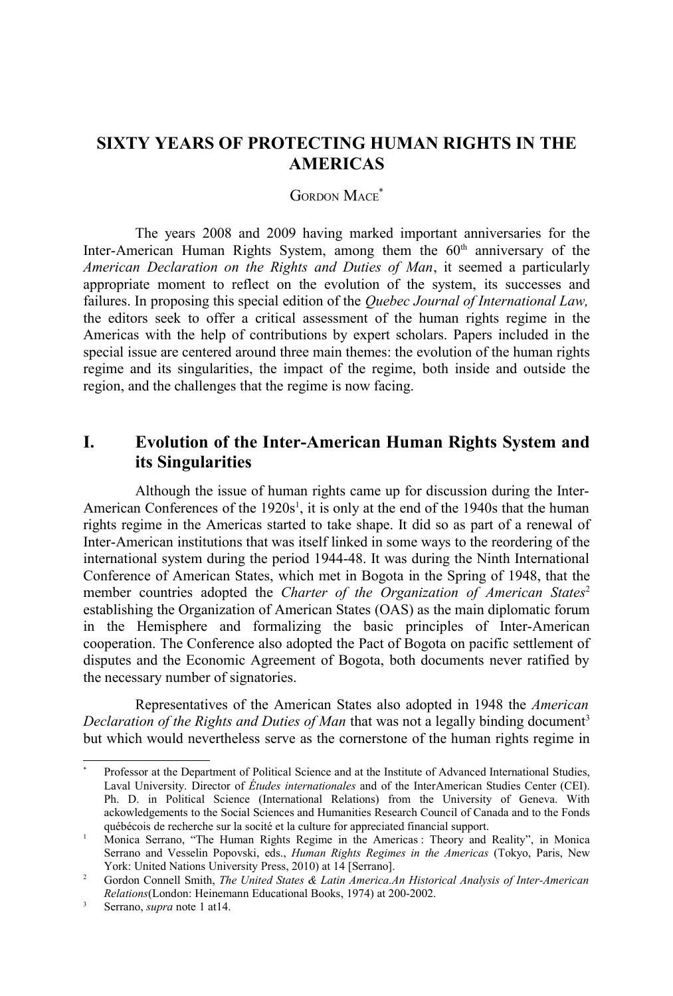# **SIXTY YEARS OF PROTECTING HUMAN RIGHTS IN THE AMERICAS**

#### GORDON MACE<sup>[\\*](#page-0-1)</sup>

The years 2008 and 2009 having marked important anniversaries for the Inter-American Human Rights System, among them the  $60<sup>th</sup>$  anniversary of the *American Declaration on the Rights and Duties of Man*, it seemed a particularly appropriate moment to reflect on the evolution of the system, its successes and failures. In proposing this special edition of the *Quebec Journal of International Law,* the editors seek to offer a critical assessment of the human rights regime in the Americas with the help of contributions by expert scholars. Papers included in the special issue are centered around three main themes: the evolution of the human rights regime and its singularities, the impact of the regime, both inside and outside the region, and the challenges that the regime is now facing.

# **I. Evolution of the Inter-American Human Rights System and its Singularities**

Although the issue of human rights came up for discussion during the Inter-American Conferences of the  $1920s<sup>1</sup>$  $1920s<sup>1</sup>$ , it is only at the end of the 1940s that the human rights regime in the Americas started to take shape. It did so as part of a renewal of Inter-American institutions that was itself linked in some ways to the reordering of the international system during the period 1944-48. It was during the Ninth International Conference of American States, which met in Bogota in the Spring of 1948, that the member countries adopted the *Charter of the Organization of American States*<sup>[2](#page-0-2)</sup> establishing the Organization of American States (OAS) as the main diplomatic forum in the Hemisphere and formalizing the basic principles of Inter-American cooperation. The Conference also adopted the Pact of Bogota on pacific settlement of disputes and the Economic Agreement of Bogota, both documents never ratified by the necessary number of signatories.

Representatives of the American States also adopted in 1948 the *American Declaration of the Rights and Duties of Man that was not a legally binding document*<sup>[3](#page-0-3)</sup> but which would nevertheless serve as the cornerstone of the human rights regime in

<span id="page-0-1"></span>Professor at the Department of Political Science and at the Institute of Advanced International Studies, Laval University. Director of *Études internationales* and of the InterAmerican Studies Center (CEI). Ph. D. in Political Science (International Relations) from the University of Geneva. With ackowledgements to the Social Sciences and Humanities Research Council of Canada and to the Fonds québécois de recherche sur la socité et la culture for appreciated financial support.

<span id="page-0-0"></span><sup>1</sup> Monica Serrano, "The Human Rights Regime in the Americas : Theory and Reality", in Monica Serrano and Vesselin Popovski, eds., *Human Rights Regimes in the Americas* (Tokyo, Paris, New York: United Nations University Press, 2010) at 14 [Serrano].

<span id="page-0-2"></span><sup>2</sup> Gordon Connell Smith, *The United States & Latin America.An Historical Analysis of Inter-American Relations*(London: Heinemann Educational Books, 1974) at 200-2002.

<span id="page-0-3"></span><sup>3</sup> Serrano, *supra* note [1](#page-0-0) at14.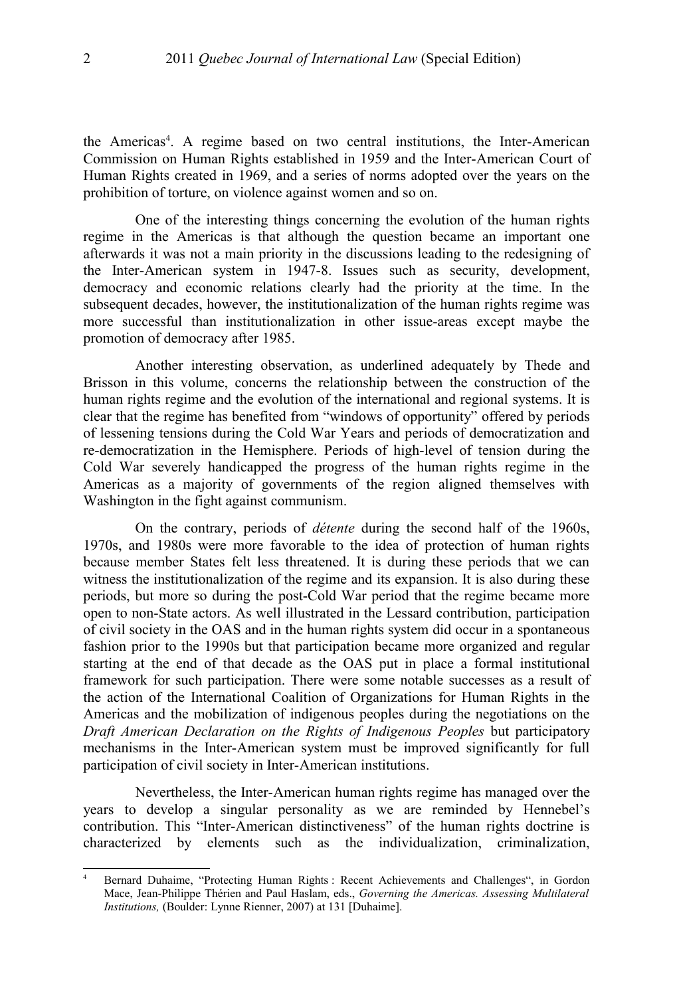the Americas<sup>[4](#page-1-0)</sup>. A regime based on two central institutions, the Inter-American Commission on Human Rights established in 1959 and the Inter-American Court of Human Rights created in 1969, and a series of norms adopted over the years on the prohibition of torture, on violence against women and so on.

One of the interesting things concerning the evolution of the human rights regime in the Americas is that although the question became an important one afterwards it was not a main priority in the discussions leading to the redesigning of the Inter-American system in 1947-8. Issues such as security, development, democracy and economic relations clearly had the priority at the time. In the subsequent decades, however, the institutionalization of the human rights regime was more successful than institutionalization in other issue-areas except maybe the promotion of democracy after 1985.

Another interesting observation, as underlined adequately by Thede and Brisson in this volume, concerns the relationship between the construction of the human rights regime and the evolution of the international and regional systems. It is clear that the regime has benefited from "windows of opportunity" offered by periods of lessening tensions during the Cold War Years and periods of democratization and re-democratization in the Hemisphere. Periods of high-level of tension during the Cold War severely handicapped the progress of the human rights regime in the Americas as a majority of governments of the region aligned themselves with Washington in the fight against communism.

On the contrary, periods of *détente* during the second half of the 1960s, 1970s, and 1980s were more favorable to the idea of protection of human rights because member States felt less threatened. It is during these periods that we can witness the institutionalization of the regime and its expansion. It is also during these periods, but more so during the post-Cold War period that the regime became more open to non-State actors. As well illustrated in the Lessard contribution, participation of civil society in the OAS and in the human rights system did occur in a spontaneous fashion prior to the 1990s but that participation became more organized and regular starting at the end of that decade as the OAS put in place a formal institutional framework for such participation. There were some notable successes as a result of the action of the International Coalition of Organizations for Human Rights in the Americas and the mobilization of indigenous peoples during the negotiations on the *Draft American Declaration on the Rights of Indigenous Peoples* but participatory mechanisms in the Inter-American system must be improved significantly for full participation of civil society in Inter-American institutions.

Nevertheless, the Inter-American human rights regime has managed over the years to develop a singular personality as we are reminded by Hennebel's contribution. This "Inter-American distinctiveness" of the human rights doctrine is characterized by elements such as the individualization, criminalization,

<span id="page-1-0"></span><sup>4</sup> Bernard Duhaime, "Protecting Human Rights : Recent Achievements and Challenges", in Gordon Mace, Jean-Philippe Thérien and Paul Haslam, eds., *Governing the Americas. Assessing Multilateral Institutions,* (Boulder: Lynne Rienner, 2007) at 131 [Duhaime].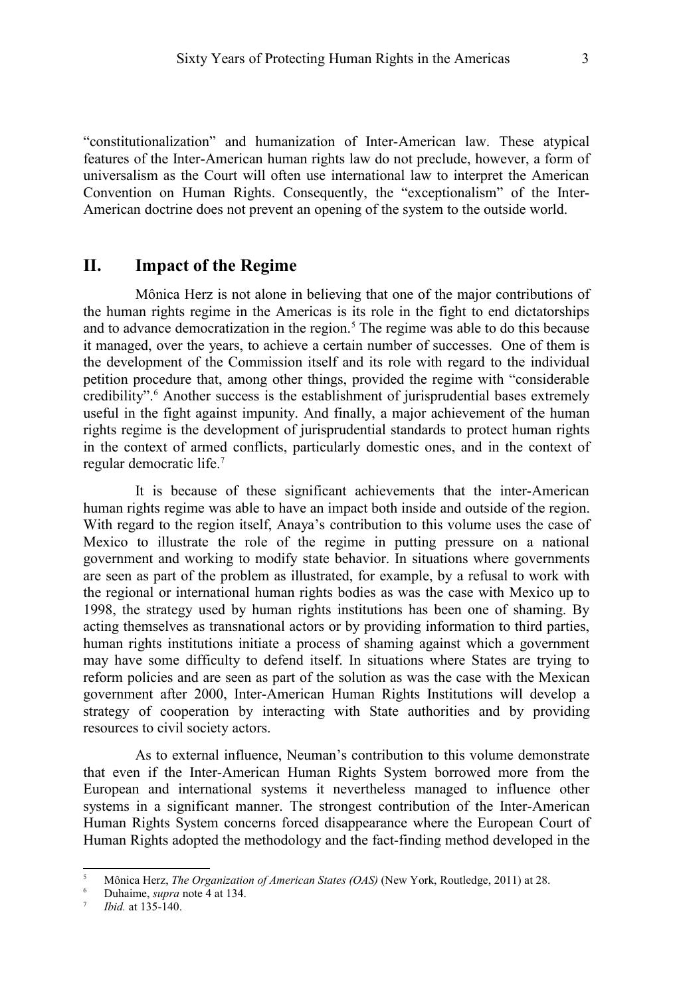"constitutionalization" and humanization of Inter-American law. These atypical features of the Inter-American human rights law do not preclude, however, a form of universalism as the Court will often use international law to interpret the American Convention on Human Rights. Consequently, the "exceptionalism" of the Inter-American doctrine does not prevent an opening of the system to the outside world.

### **II. Impact of the Regime**

Mônica Herz is not alone in believing that one of the major contributions of the human rights regime in the Americas is its role in the fight to end dictatorships and to advance democratization in the region.<sup>[5](#page-2-0)</sup> The regime was able to do this because it managed, over the years, to achieve a certain number of successes. One of them is the development of the Commission itself and its role with regard to the individual petition procedure that, among other things, provided the regime with "considerable credibility".<sup>[6](#page-2-1)</sup> Another success is the establishment of jurisprudential bases extremely useful in the fight against impunity. And finally, a major achievement of the human rights regime is the development of jurisprudential standards to protect human rights in the context of armed conflicts, particularly domestic ones, and in the context of regular democratic life.[7](#page-2-2)

It is because of these significant achievements that the inter-American human rights regime was able to have an impact both inside and outside of the region. With regard to the region itself, Anaya's contribution to this volume uses the case of Mexico to illustrate the role of the regime in putting pressure on a national government and working to modify state behavior. In situations where governments are seen as part of the problem as illustrated, for example, by a refusal to work with the regional or international human rights bodies as was the case with Mexico up to 1998, the strategy used by human rights institutions has been one of shaming. By acting themselves as transnational actors or by providing information to third parties, human rights institutions initiate a process of shaming against which a government may have some difficulty to defend itself. In situations where States are trying to reform policies and are seen as part of the solution as was the case with the Mexican government after 2000, Inter-American Human Rights Institutions will develop a strategy of cooperation by interacting with State authorities and by providing resources to civil society actors.

As to external influence, Neuman's contribution to this volume demonstrate that even if the Inter-American Human Rights System borrowed more from the European and international systems it nevertheless managed to influence other systems in a significant manner. The strongest contribution of the Inter-American Human Rights System concerns forced disappearance where the European Court of Human Rights adopted the methodology and the fact-finding method developed in the

<span id="page-2-0"></span><sup>&</sup>lt;sup>5</sup> Mônica Herz, *The Organization of American States (OAS)* (New York, Routledge, 2011) at 28.

<span id="page-2-1"></span><sup>6</sup> Duhaime, *supra* note [4](#page-1-0) at 134.

<span id="page-2-2"></span><sup>7</sup> *Ibid.* at 135-140.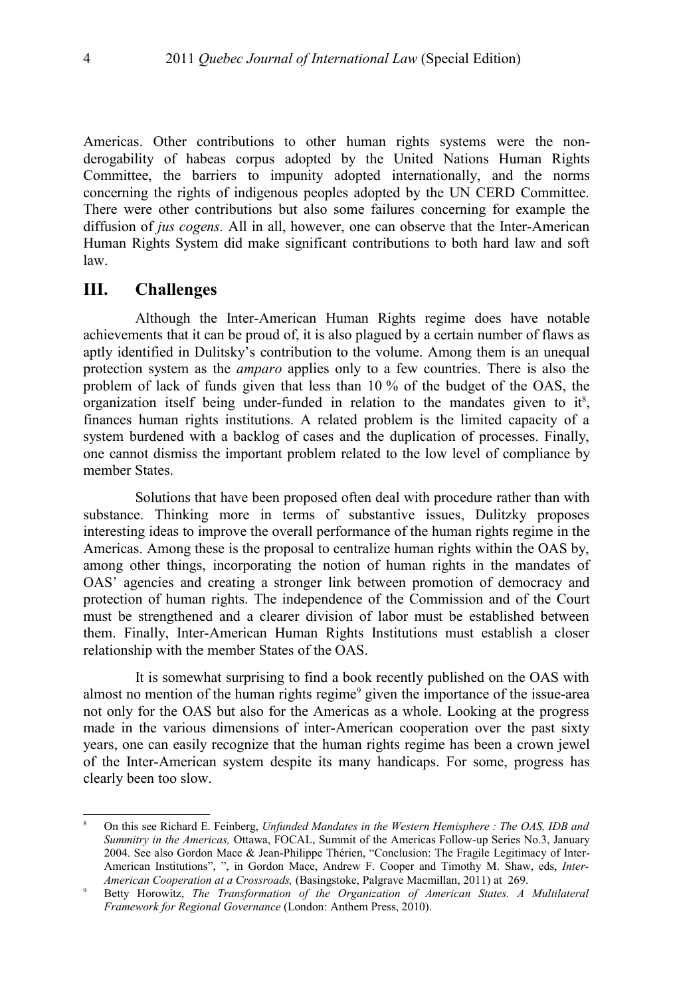Americas. Other contributions to other human rights systems were the nonderogability of habeas corpus adopted by the United Nations Human Rights Committee, the barriers to impunity adopted internationally, and the norms concerning the rights of indigenous peoples adopted by the UN CERD Committee. There were other contributions but also some failures concerning for example the diffusion of *jus cogens.* All in all, however, one can observe that the Inter-American Human Rights System did make significant contributions to both hard law and soft law.

#### **III. Challenges**

Although the Inter-American Human Rights regime does have notable achievements that it can be proud of, it is also plagued by a certain number of flaws as aptly identified in Dulitsky's contribution to the volume. Among them is an unequal protection system as the *amparo* applies only to a few countries. There is also the problem of lack of funds given that less than 10 % of the budget of the OAS, the organization itself being under-funded in relation to the mandates given to it $\delta$ , finances human rights institutions. A related problem is the limited capacity of a system burdened with a backlog of cases and the duplication of processes. Finally, one cannot dismiss the important problem related to the low level of compliance by member States.

Solutions that have been proposed often deal with procedure rather than with substance. Thinking more in terms of substantive issues, Dulitzky proposes interesting ideas to improve the overall performance of the human rights regime in the Americas. Among these is the proposal to centralize human rights within the OAS by, among other things, incorporating the notion of human rights in the mandates of OAS' agencies and creating a stronger link between promotion of democracy and protection of human rights. The independence of the Commission and of the Court must be strengthened and a clearer division of labor must be established between them. Finally, Inter-American Human Rights Institutions must establish a closer relationship with the member States of the OAS.

It is somewhat surprising to find a book recently published on the OAS with almost no mention of the human rights regime<sup>[9](#page-3-1)</sup> given the importance of the issue-area not only for the OAS but also for the Americas as a whole. Looking at the progress made in the various dimensions of inter-American cooperation over the past sixty years, one can easily recognize that the human rights regime has been a crown jewel of the Inter-American system despite its many handicaps. For some, progress has clearly been too slow.

<span id="page-3-0"></span><sup>8</sup> On this see Richard E. Feinberg, *Unfunded Mandates in the Western Hemisphere : The OAS, IDB and Summitry in the Americas,* Ottawa, FOCAL, Summit of the Americas Follow-up Series No.3, January 2004. See also Gordon Mace & Jean-Philippe Thérien, "Conclusion: The Fragile Legitimacy of Inter-American Institutions", ", in Gordon Mace, Andrew F. Cooper and Timothy M. Shaw, eds, *Inter-American Cooperation at a Crossroads,* (Basingstoke, Palgrave Macmillan, 2011) at 269.

<span id="page-3-1"></span><sup>9</sup> Betty Horowitz, *The Transformation of the Organization of American States. A Multilateral Framework for Regional Governance* (London: Anthem Press, 2010).